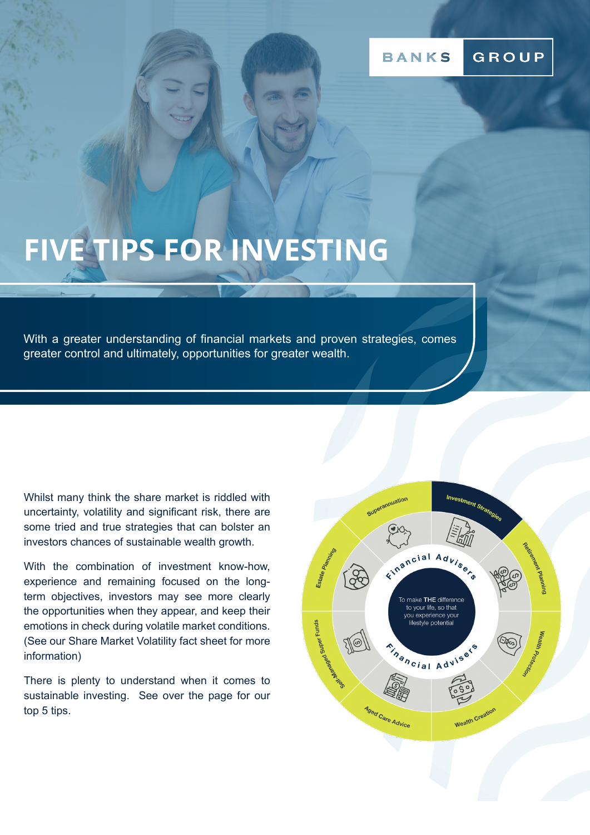### GROUP **BANKS**

# **FIVE TIPS FOR INVESTING**

With a greater understanding of financial markets and proven strategies, comes greater control and ultimately, opportunities for greater wealth.

Whilst many think the share market is riddled with uncertainty, volatility and significant risk, there are some tried and true strategies that can bolster an investors chances of sustainable wealth growth.

With the combination of investment know-how, experience and remaining focused on the longterm objectives, investors may see more clearly the opportunities when they appear, and keep their emotions in check during volatile market conditions. (See our Share Market Volatility fact sheet for more information)

There is plenty to understand when it comes to sustainable investing. See over the page for our top 5 tips.

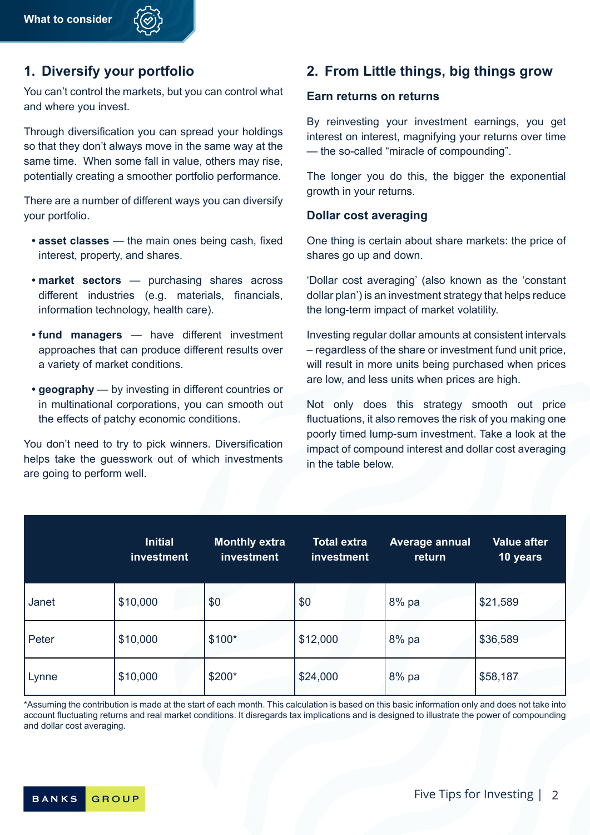# **1. Diversify your portfolio**

You can't control the markets, but you can control what and where you invest.

Through diversification you can spread your holdings so that they don't always move in the same way at the same time. When some fall in value, others may rise, potentially creating a smoother portfolio performance.

There are a number of different ways you can diversify your portfolio.

- **• asset classes** the main ones being cash, fixed interest, property, and shares.
- **• market sectors** purchasing shares across different industries (e.g. materials, financials, information technology, health care).
- **• fund managers** have different investment approaches that can produce different results over a variety of market conditions.
- **• geography** by investing in different countries or in multinational corporations, you can smooth out the effects of patchy economic conditions.

You don't need to try to pick winners. Diversification helps take the guesswork out of which investments are going to perform well.

# **2. From Little things, big things grow**

### **Earn returns on returns**

By reinvesting your investment earnings, you get interest on interest, magnifying your returns over time — the so-called "miracle of compounding".

The longer you do this, the bigger the exponential growth in your returns.

### **Dollar cost averaging**

One thing is certain about share markets: the price of shares go up and down.

'Dollar cost averaging' (also known as the 'constant dollar plan') is an investment strategy that helps reduce the long-term impact of market volatility.

Investing regular dollar amounts at consistent intervals – regardless of the share or investment fund unit price, will result in more units being purchased when prices are low, and less units when prices are high.

Not only does this strategy smooth out price fluctuations, it also removes the risk of you making one poorly timed lump-sum investment. Take a look at the impact of compound interest and dollar cost averaging in the table below.

|       | <b>Initial</b><br>investment | Monthly extra<br>investment | <b>Total extra</b><br>investment | <b>Average annual</b><br>return | <b>Value after</b><br>10 years |
|-------|------------------------------|-----------------------------|----------------------------------|---------------------------------|--------------------------------|
| Janet | \$10,000                     | \$0                         | \$0                              | 8% pa                           | \$21,589                       |
| Peter | \$10,000                     | $$100*$                     | \$12,000                         | 8% pa                           | \$36,589                       |
| Lynne | \$10,000                     | \$200*                      | \$24,000                         | 8% pa                           | \$58,187                       |

\*Assuming the contribution is made at the start of each month. This calculation is based on this basic information only and does not take into account fluctuating returns and real market conditions. It disregards tax implications and is designed to illustrate the power of compounding and dollar cost averaging.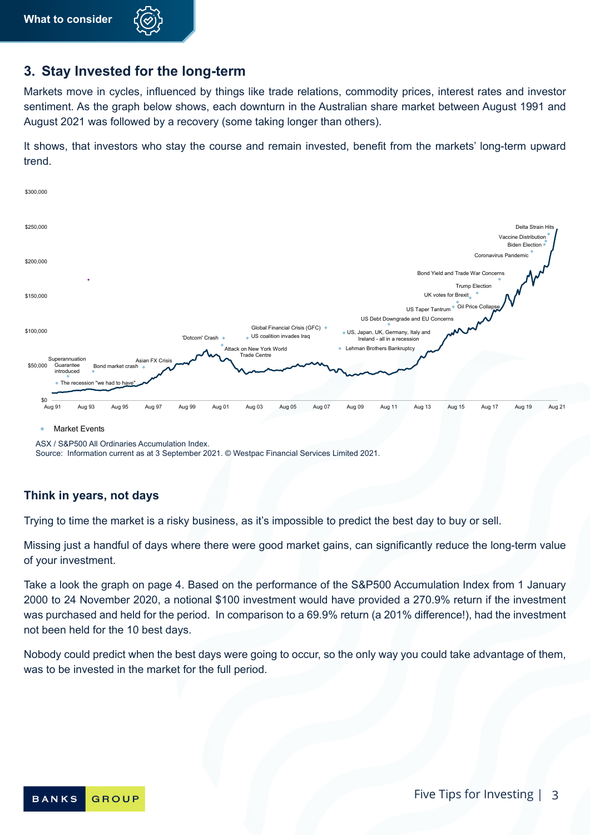

## **3. Stay Invested for the long-term**

Markets move in cycles, influenced by things like trade relations, commodity prices, interest rates and investor sentiment. As the graph below shows, each downturn in the Australian share market between August 1991 and August 2021 was followed by a recovery (some taking longer than others).

It shows, that investors who stay the course and remain invested, benefit from the markets' long-term upward trend.



ASX / S&P500 All Ordinaries Accumulation Index.

Source: Information current as at 3 September 2021. © Westpac Financial Services Limited 2021.

### **Think in years, not days**

Trying to time the market is a risky business, as it's impossible to predict the best day to buy or sell.

Missing just a handful of days where there were good market gains, can significantly reduce the long-term value of your investment.

Take a look the graph on page 4. Based on the performance of the S&P500 Accumulation Index from 1 January 2000 to 24 November 2020, a notional \$100 investment would have provided a 270.9% return if the investment was purchased and held for the period. In comparison to a 69.9% return (a 201% difference!), had the investment not been held for the 10 best days.

Nobody could predict when the best days were going to occur, so the only way you could take advantage of them, was to be invested in the market for the full period.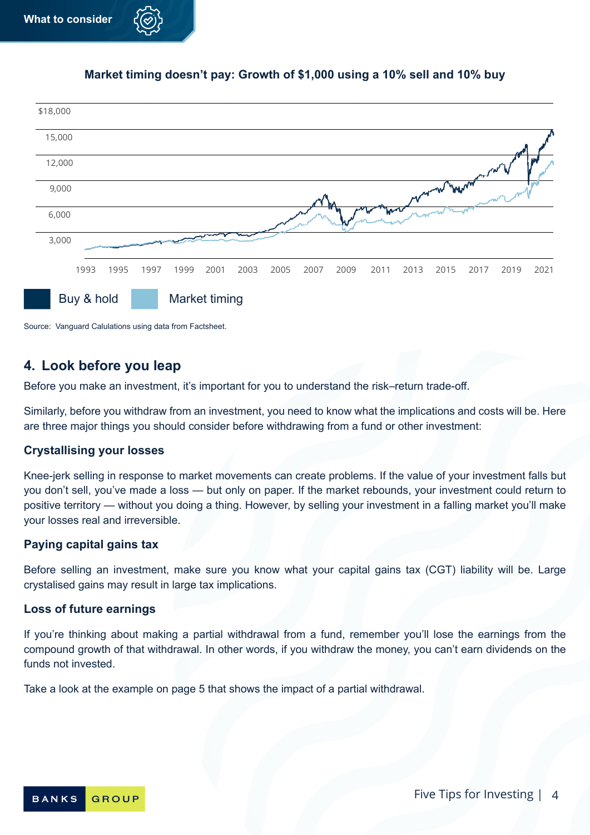### **Market timing doesn't pay: Growth of \$1,000 using a 10% sell and 10% buy**



Source: Vanguard Calulations using data from Factsheet.

# **4. Look before you leap**

Before you make an investment, it's important for you to understand the risk–return trade-off.

Similarly, before you withdraw from an investment, you need to know what the implications and costs will be. Here are three major things you should consider before withdrawing from a fund or other investment:

### **Crystallising your losses**

Knee-jerk selling in response to market movements can create problems. If the value of your investment falls but you don't sell, you've made a loss — but only on paper. If the market rebounds, your investment could return to positive territory — without you doing a thing. However, by selling your investment in a falling market you'll make your losses real and irreversible.

### **Paying capital gains tax**

Before selling an investment, make sure you know what your capital gains tax (CGT) liability will be. Large crystalised gains may result in large tax implications.

### **Loss of future earnings**

If you're thinking about making a partial withdrawal from a fund, remember you'll lose the earnings from the compound growth of that withdrawal. In other words, if you withdraw the money, you can't earn dividends on the funds not invested.

Take a look at the example on page 5 that shows the impact of a partial withdrawal.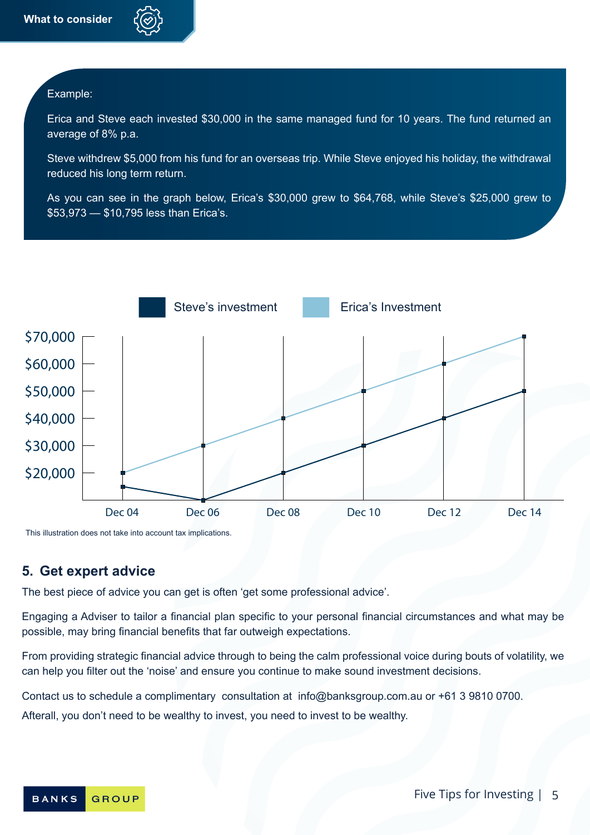### Example:

Erica and Steve each invested \$30,000 in the same managed fund for 10 years. The fund returned an average of 8% p.a.

Steve withdrew \$5,000 from his fund for an overseas trip. While Steve enjoyed his holiday, the withdrawal reduced his long term return.

As you can see in the graph below, Erica's \$30,000 grew to \$64,768, while Steve's \$25,000 grew to \$53,973 — \$10,795 less than Erica's.



This illustration does not take into account tax implications.

### **5. Get expert advice**

The best piece of advice you can get is often 'get some professional advice'.

Engaging a Adviser to tailor a financial plan specific to your personal financial circumstances and what may be possible, may bring financial benefits that far outweigh expectations.

From providing strategic financial advice through to being the calm professional voice during bouts of volatility, we can help you filter out the 'noise' and ensure you continue to make sound investment decisions.

Contact us to schedule a complimentary consultation at info@banksgroup.com.au or +61 3 9810 0700.

Afterall, you don't need to be wealthy to invest, you need to invest to be wealthy.